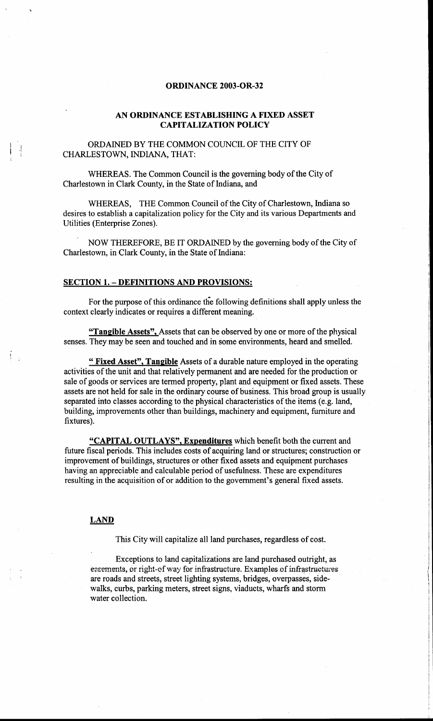# **ORDINANCE 2003-OR-32**

# AN ORDINANCE ESTABLISHING A FIXED ASSET **CAPITALIZATION POLICY**

ORDAINED BY THE COMMON COUNCIL OF THE CITY OF CHARLESTOWN, INDIANA, THAT:

WHEREAS. The Common Council is the governing body of the City of Charlestown in Clark County, in the State of Indiana, and

WHEREAS, THE Common Council of the City of Charlestown, Indiana so desires to establish a capitalization policy for the City and its various Departments and Utilities (Enterprise Zones).

NOW THEREFORE, BE IT ORDAINED by the governing body of the City of Charlestown, in Clark County, in the State of Indiana:

# **SECTION 1. - DEFINITIONS AND PROVISIONS:**

For the purpose of this ordinance the following definitions shall apply unless the context clearly indicates or requires a different meaning.

"Tangible Assets", Assets that can be observed by one or more of the physical senses. They may be seen and touched and in some environments, heard and smelled.

" Fixed Asset", Tangible Assets of a durable nature employed in the operating activities of the unit and that relatively permanent and are needed for the production or sale of goods or services are termed property, plant and equipment or fixed assets. These assets are not held for sale in the ordinary course of business. This broad group is usually separated into classes according to the physical characteristics of the items (e.g. land, building, improvements other than buildings, machinery and equipment, furniture and fixtures).

"CAPITAL OUTLAYS", Expenditures which benefit both the current and future fiscal periods. This includes costs of acquiring land or structures; construction or improvement of buildings, structures or other fixed assets and equipment purchases having an appreciable and calculable period of usefulness. These are expenditures resulting in the acquisition of or addition to the government's general fixed assets.

# **LAND**

 $\tilde{V}_{\rm{eff}}$ 

This City will capitalize all land purchases, regardless of cost.

Exceptions to land capitalizations are land purchased outright, as eccements, or right-of way for infrastructure. Examples of infrastructures are roads and streets, street lighting systems, bridges, overpasses, sidewalks, curbs, parking meters, street signs, viaducts, wharfs and storm water collection.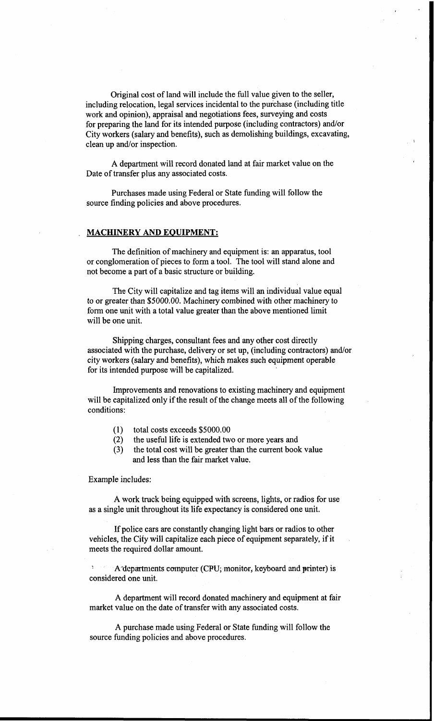Original cost of land will include the full value given to the seller, including relocation, legal services incidental to the purchase (including title work and opinion), appraisal and negotiations fees, surveying and costs for preparing the land for its intended purpose (including contractors) and/or City workers (salary and benefits), such as demolishing buildings, excavating, clean up and/or inspection.

**A** department will record donated land at fair market value on the Date of transfer plus any associated costs.

Purchases made using Federal or State funding will follow the source finding policies and above procedures.

#### **MACHINERY AND EQUIPMENT:**

The definition of machinery and equipment is: an apparatus, tool or conglomeration of pieces to form a tool. The tool will stand alone and not become a part of a basic structure or building.

The City will capitalize and tag items will an individual value equal to or greater than \$5000.00. Machinery combined with other machinery to form one unit with a total value greater than the above mentioned limit will be one unit.

Shipping charges, consultant fees and any other cost directly associated with the purchase, delivery or set up, (including contractors) and/or city workers (salary and benefits), which makes such equipment operable for its intended purpose will be capitalized.

Improvements and renovations to existing machinery and equipment will be capitalized only if the result of the change meets all of the following conditions:

- (1) total costs exceeds \$5000.00
- (2) the useful life is extended two or more years and
- **(3)**  the total cost will be greater than the current book value and less than the fair market value.

Example includes:

**A** work truck being equipped with screens, lights, or radios for use as a single unit throughout its life expectancy is considered one unit.

If police cars are constantly changing light bars or radios to other vehicles, the City will capitalize each piece of equipment separately, if it meets the required dollar amount.

A departments computer *(CPU; monitor, keyboard and printer)* is considered one unit.

**A** department will record donated machinery and equipment at fair market value on the date of transfer with any associated costs.

**A** purchase made using Federal or State funding will follow the source funding policies and above procedures.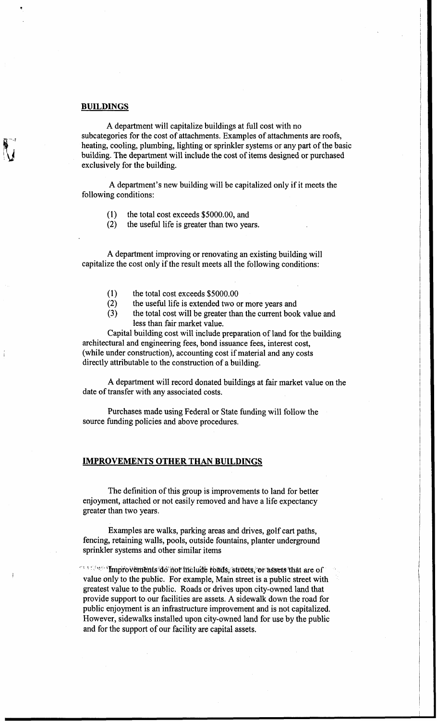#### **BUILDINGS**

A department will capitalize buildings at full cost with no subcategories for the cost of attachments. Examples of attachments are roofs, heating, cooling, plumbing, lighting or sprinkler systems or any part of the basic building. The department will include the cost of items designed or purchased exclusively for the building.

**A** department's new building will be capitalized only if it meets the following conditions:

- (1) the total cost exceeds \$5000.00, and
- (2) the useful life is greater than two years.

**A** department improving or renovating an existing building will capitalize the cost only if the result meets all the following conditions:

- (1) the total cost exceeds \$5000.00
- (2) the useful life is extended two or more years and
- **(3)**  the total cost will be greater than the current book value and less than fair market value.

Capital building cost will include preparation of land for the building architectural and engineering fees, bond issuance fees, interest cost, (while under construction), accounting cost if material and any costs directly attributable to the construction of a building.

**A** department will record donated buildings at fair market value on the date of transfer with any associated costs.

Purchases made using Federal or State funding will follow the source funding policies and above procedures.

#### **IMPROVEMENTS OTHER THAN BUILDINGS**

The definition of this group is improvements to land for better enjoyment, attached or not easily removed and have a life expectancy greater than two years.

Examples are walks, parking areas and drives, golf cart paths, fencing, retaining walls, pools, outside fountains, planter underground sprinkler systems and other similar items

The Constitution of the final state of the lude roads, streets, or assets that are of value only to the public. For example, Main street is a public street with greatest value to the public. Roads or drives upon city-owned land that provide support to our facilities are assets. A sidewalk down the road for public enjoyment is an infrastructure improvement and is not capitalized. However, sidewalks installed upon city-owned land for use by the public and for the support of our facility are capital assets.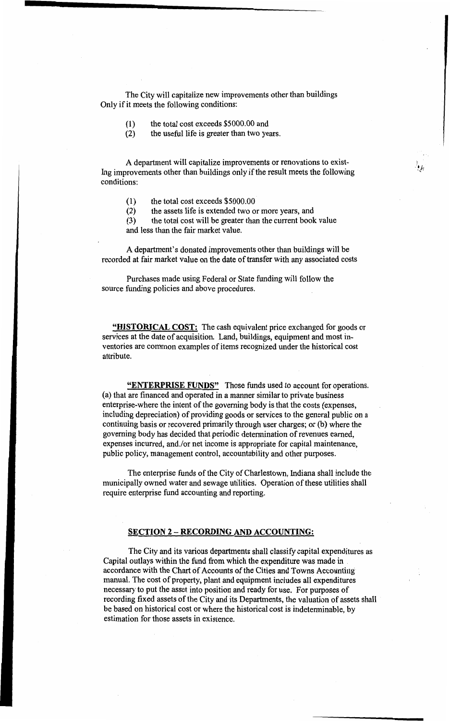The City will capitalize new improvements other than buildings Only if it meets the following conditions:

- (1) the total cost exceeds \$5000.00 and
- **(2)**  the useful life is greater than two years.

A department will capitalize improvements or renovations to exist-Ing improvements other than buildings only if the result meets the following conditions:

(1) the total cost exceeds \$5000.00

**(2)**  the assets life is extended two or more years, and

**(3)**  and less than the fair market value. the total cost will be greater than the current book value

**A** department's donated improvements other than buildings will be recorded at fair market value on the date of transfer with any associated costs

Purchases made using Federal or State funding will follow the source funding policies and above procedures.

**"HISTORICAL COST:** The cash equivalent price exchanged for goods or services at the date of acquisition. Land, buildings, equipment and most inventories are common examples of items recognized under the historical cost attribute.

**"ENTERPRISE FUNDS"** Those funds used to account for operations. (a) that are financed and operated in a manner similar to private business enterprise-where the intent of the governing body is that the costs (expenses, including depreciation) of providing goods or services to the general public on a continuing basis or recovered primarily through user charges; or (b) where the governing body has decided that periodic determination of revenues earned, expenses incurred, and/or net income is appropriate for capital maintenance, public policy, management control, accountability and other purposes.

The enterprise funds of the City of Charlestown, Indiana shall include the municipally owned water and sewage utilities. Operation of these utilities shall require enterprise fund accounting and reporting.

# **SECTION 2 - RECORDING AND ACCOUNTING:**

The City and its various departments shall classify capital expenditures as Capital outlays within the fund from which the expenditure was made in accordance with the Chart of Accounts of the Cities **and Towns** accounting manual. The cost of property, plant and equipment includes all expenditures necessary to put the asset into position and ready for use. For purposes of recording fixed assets of the City and its Departments, the valuation of assets shall be based on historical cost or where the historical cost is indeterminable, by estimation for those assets in existence.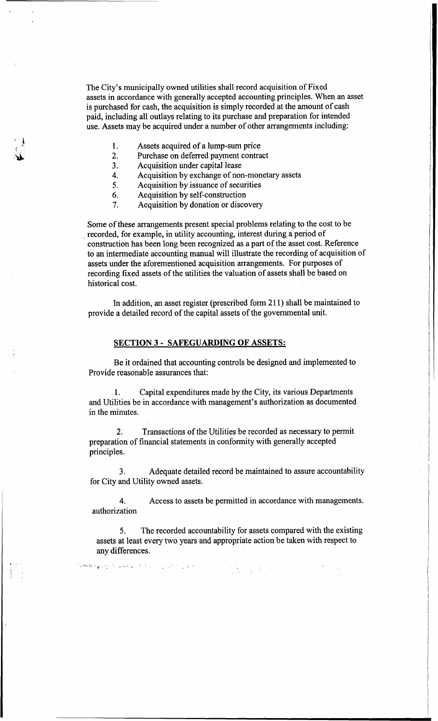The City's municipally owned utilities shall record acquisition of Fixed assets in accordance with generally accepted accounting principles. When an asset is purchased for cash, the acquisition is simply recorded at the amount of cash paid, including all outlays relating to its purchase and preparation for intended use. Assets may be acquired under a number of other arrangements including:

I

i

I

I

- 1. Assets acquired of a lump-sum price
- 2. Purchase on deferred payment contract
- **3.** Acquisition under capital lease
- **4.**  Acquisition by exchange of non-monetary assets
- *5.*  Acquisition by issuance of securities
- 6. Acquisition by self-construction
- 7. Acquisition by donation or discovery

Some of these arrangements present special problems relating to the cost to be construction has been long been recognized as a part of the asset cost. Reference to an intermediate accounting manual will illustrate the recording of acquisition of assets under the aforementioned acquisition arrangements. For purposes of recording fixed assets of the utilities the valuation of assets shall be based on historical cost. recorded, for example, in utility accounting, interest during a period of

In addition, an asset register (prescribed form 21 1) shall be maintained to provide a detailed record of the capital assets of the governmental unit.

# **SECTION 3** - **SAFEGUARDING OF ASSETS:**

Be it ordained that accounting controls be designed and implemented to Provide reasonable assurances that:

1. Capital expenditures made by the City, its various Departments and Utilities be in accordance with management's authorization as documented in the minutes.

2. preparation of financial statements in conformity with generally accepted principles. Transactions of the Utilities be recorded as necessary to permit

3. for City and Utility owned assets. Adequate detailed record be maintained to assure accountability

4. Access to assets be permitted in accordance with managements. authorization

*5.*  assets at least every two years and appropriate action be taken with respect to any differences. The recorded accountability for assets compared with the existing

يتأليها والرزائر بالرارات الرابتة الأسامريجيدين للتراويخ بتهاك وقلعاهما